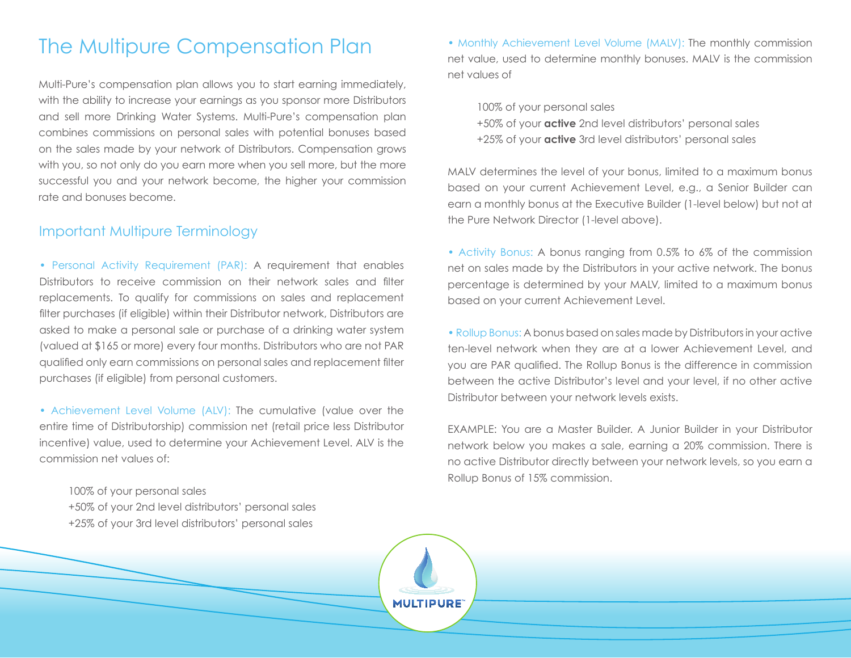## The Multipure Compensation Plan

Multi-Pure's compensation plan allows you to start earning immediately, with the ability to increase your earnings as you sponsor more Distributors and sell more Drinking Water Systems. Multi-Pure's compensation plan combines commissions on personal sales with potential bonuses based on the sales made by your network of Distributors. Compensation grows with you, so not only do you earn more when you sell more, but the more successful you and your network become, the higher your commission rate and bonuses become.

## Important Multipure Terminology

• Personal Activity Requirement (PAR): A requirement that enables Distributors to receive commission on their network sales and filter replacements. To qualify for commissions on sales and replacement filter purchases (if eligible) within their Distributor network, Distributors are asked to make a personal sale or purchase of a drinking water system (valued at \$165 or more) every four months. Distributors who are not PAR qualified only earn commissions on personal sales and replacement filter purchases (if eligible) from personal customers.

• Achievement Level Volume (ALV): The cumulative (value over the entire time of Distributorship) commission net (retail price less Distributor incentive) value, used to determine your Achievement Level. ALV is the commission net values of:

100% of your personal sales

+50% of your 2nd level distributors' personal sales

+25% of your 3rd level distributors' personal sales

• Monthly Achievement Level Volume (MALV): The monthly commission net value, used to determine monthly bonuses. MALV is the commission net values of

100% of your personal sales

- +50% of your **active** 2nd level distributors' personal sales
- +25% of your **active** 3rd level distributors' personal sales

MALV determines the level of your bonus, limited to a maximum bonus based on your current Achievement Level, e.g., a Senior Builder can earn a monthly bonus at the Executive Builder (1-level below) but not at the Pure Network Director (1-level above).

• Activity Bonus: A bonus ranging from 0.5% to 6% of the commission net on sales made by the Distributors in your active network. The bonus percentage is determined by your MALV, limited to a maximum bonus based on your current Achievement Level.

• Rollup Bonus: A bonus based on sales made by Distributors in your active ten-level network when they are at a lower Achievement Level, and you are PAR qualified. The Rollup Bonus is the difference in commission between the active Distributor's level and your level, if no other active Distributor between your network levels exists.

EXAMPLE: You are a Master Builder. A Junior Builder in your Distributor network below you makes a sale, earning a 20% commission. There is no active Distributor directly between your network levels, so you earn a Rollup Bonus of 15% commission.

**MULTIPURE**